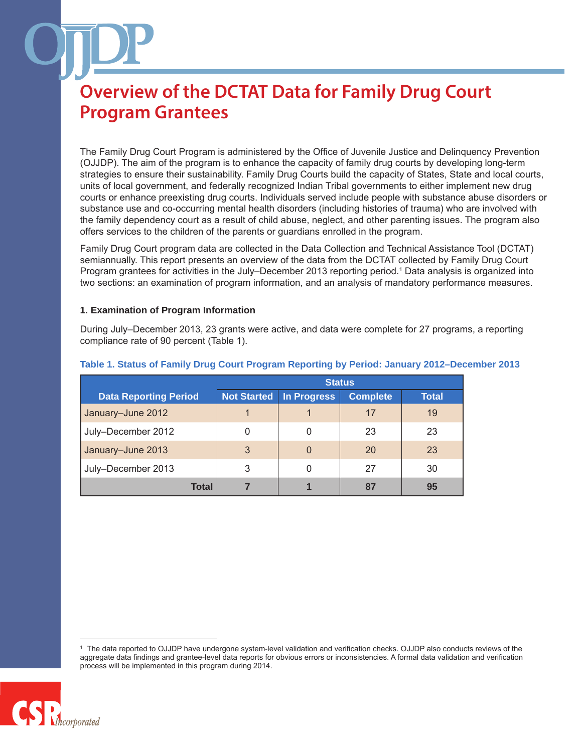The Family Drug Court Program is administered by the Office of Juvenile Justice and Delinquency Prevention (OJJDP). The aim of the program is to enhance the capacity of family drug courts by developing long-term strategies to ensure their sustainability. Family Drug Courts build the capacity of States, State and local courts, units of local government, and federally recognized Indian Tribal governments to either implement new drug courts or enhance preexisting drug courts. Individuals served include people with substance abuse disorders or substance use and co-occurring mental health disorders (including histories of trauma) who are involved with the family dependency court as a result of child abuse, neglect, and other parenting issues. The program also offers services to the children of the parents or guardians enrolled in the program.

Family Drug Court program data are collected in the Data Collection and Technical Assistance Tool (DCTAT) semiannually. This report presents an overview of the data from the DCTAT collected by Family Drug Court Program grantees for activities in the July–December 2013 reporting period.<sup>1</sup> Data analysis is organized into two sections: an examination of program information, and an analysis of mandatory performance measures.

#### **1. Examination of Program Information**

During July–December 2013, 23 grants were active, and data were complete for 27 programs, a reporting compliance rate of 90 percent (Table 1).

|                              | <b>Status</b> |             |                 |              |
|------------------------------|---------------|-------------|-----------------|--------------|
| <b>Data Reporting Period</b> | Not Started   | In Progress | <b>Complete</b> | <b>Total</b> |
| January-June 2012            | 1             |             | 17              | 19           |
| July-December 2012           | 0             |             | 23              | 23           |
| January-June 2013            | 3             | $\Omega$    | 20              | 23           |
| July-December 2013           | 3             | 0           | 27              | 30           |
| Total                        |               |             | 87              | 95           |

#### **Table 1. Status of Family Drug Court Program Reporting by Period: January 2012–December 2013**

<sup>1</sup> The data reported to OJJDP have undergone system-level validation and verification checks. OJJDP also conducts reviews of the aggregate data findings and grantee-level data reports for obvious errors or inconsistencies. A formal data validation and verification process will be implemented in this program during 2014.

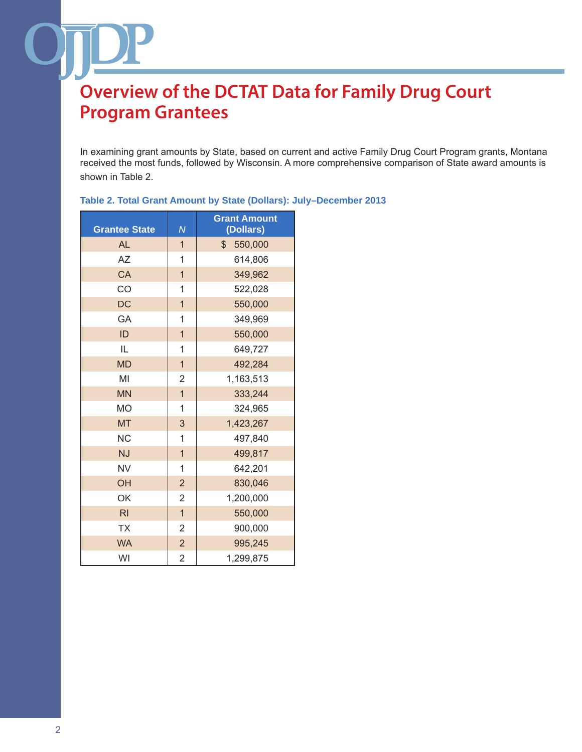In examining grant amounts by State, based on current and active Family Drug Court Program grants, Montana received the most funds, followed by Wisconsin. A more comprehensive comparison of State award amounts is shown in Table 2.

| <b>Grantee State</b> | $\overline{N}$ | <b>Grant Amount</b><br>(Dollars) |
|----------------------|----------------|----------------------------------|
| <b>AL</b>            | $\mathbf{1}$   | $\mathcal{L}$<br>550,000         |
| AZ                   | 1              | 614,806                          |
| CA                   | $\mathbf{1}$   | 349,962                          |
| CO                   | 1              | 522,028                          |
| <b>DC</b>            | $\overline{1}$ | 550,000                          |
| GA                   | $\mathbf{1}$   | 349,969                          |
| ID                   | $\overline{1}$ | 550,000                          |
| IL                   | 1              | 649,727                          |
| <b>MD</b>            | $\overline{1}$ | 492,284                          |
| MI                   | $\overline{2}$ | 1,163,513                        |
| <b>MN</b>            | $\overline{1}$ | 333,244                          |
| <b>MO</b>            | 1              | 324,965                          |
| <b>MT</b>            | 3              | 1,423,267                        |
| <b>NC</b>            | 1              | 497,840                          |
| <b>NJ</b>            | $\mathbf{1}$   | 499,817                          |
| <b>NV</b>            | 1              | 642,201                          |
| OH                   | $\overline{2}$ | 830,046                          |
| OK                   | $\overline{2}$ | 1,200,000                        |
| R <sub>l</sub>       | $\overline{1}$ | 550,000                          |
| <b>TX</b>            | $\overline{2}$ | 900,000                          |
| <b>WA</b>            | $\overline{2}$ | 995,245                          |
| WI                   | $\overline{2}$ | 1,299,875                        |

#### **Table 2. Total Grant Amount by State (Dollars): July–December 2013**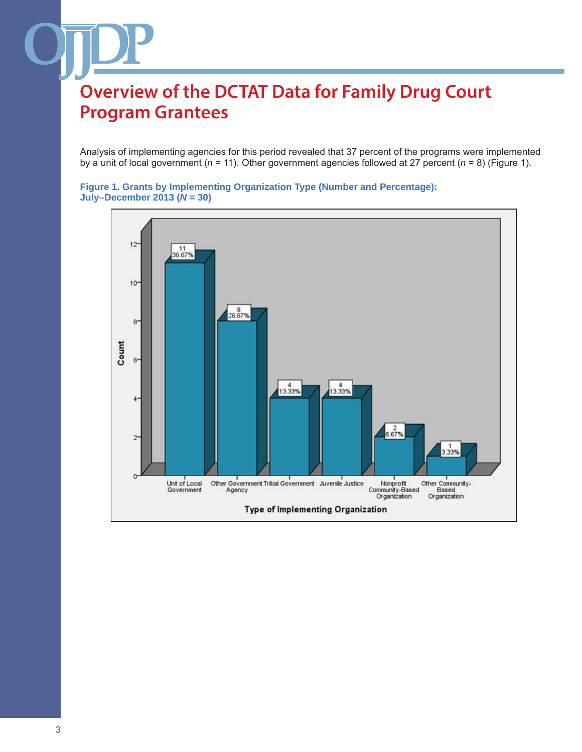Analysis of implementing agencies for this period revealed that 37 percent of the programs were implemented by a unit of local government (*n* = 11). Other government agencies followed at 27 percent (*n* = 8) (Figure 1).

```
Figure 1. Grants by Implementing Organization Type (Number and Percentage): 
July–December 2013 (N = 30)
```
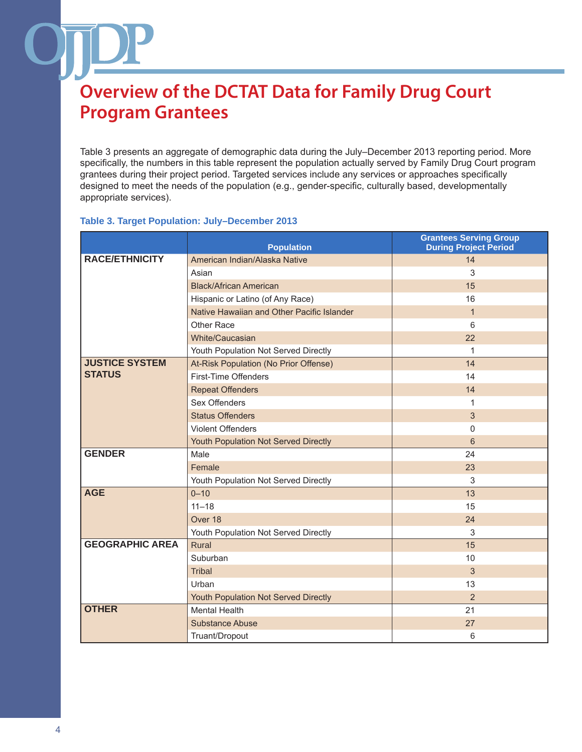Table 3 presents an aggregate of demographic data during the July–December 2013 reporting period. More specifically, the numbers in this table represent the population actually served by Family Drug Court program grantees during their project period. Targeted services include any services or approaches specifically designed to meet the needs of the population (e.g., gender-specific, culturally based, developmentally appropriate services).

#### **Table 3. Target Population: July–December 2013**

|                        | <b>Population</b>                          | <b>Grantees Serving Group</b><br><b>During Project Period</b> |
|------------------------|--------------------------------------------|---------------------------------------------------------------|
| <b>RACE/ETHNICITY</b>  | American Indian/Alaska Native              | 14                                                            |
|                        | Asian                                      | 3                                                             |
|                        | <b>Black/African American</b>              | 15                                                            |
|                        | Hispanic or Latino (of Any Race)           | 16                                                            |
|                        | Native Hawaiian and Other Pacific Islander | $\mathbf{1}$                                                  |
|                        | Other Race                                 | 6                                                             |
|                        | White/Caucasian                            | 22                                                            |
|                        | Youth Population Not Served Directly       | 1                                                             |
| <b>JUSTICE SYSTEM</b>  | At-Risk Population (No Prior Offense)      | 14                                                            |
| <b>STATUS</b>          | First-Time Offenders                       | 14                                                            |
|                        | <b>Repeat Offenders</b>                    | 14                                                            |
|                        | Sex Offenders                              | 1                                                             |
|                        | <b>Status Offenders</b>                    | 3                                                             |
|                        | <b>Violent Offenders</b>                   | $\Omega$                                                      |
|                        | Youth Population Not Served Directly       | 6                                                             |
| <b>GENDER</b>          | Male                                       | 24                                                            |
|                        | Female                                     | 23                                                            |
|                        | Youth Population Not Served Directly       | 3                                                             |
| <b>AGE</b>             | $0 - 10$                                   | 13                                                            |
|                        | $11 - 18$                                  | 15                                                            |
|                        | Over 18                                    | 24                                                            |
|                        | Youth Population Not Served Directly       | 3                                                             |
| <b>GEOGRAPHIC AREA</b> | <b>Rural</b>                               | 15                                                            |
|                        | Suburban                                   | 10                                                            |
|                        | <b>Tribal</b>                              | 3                                                             |
|                        | Urban                                      | 13                                                            |
|                        | Youth Population Not Served Directly       | 2                                                             |
| <b>OTHER</b>           | <b>Mental Health</b>                       | 21                                                            |
|                        | Substance Abuse                            | 27                                                            |
|                        | Truant/Dropout                             | 6                                                             |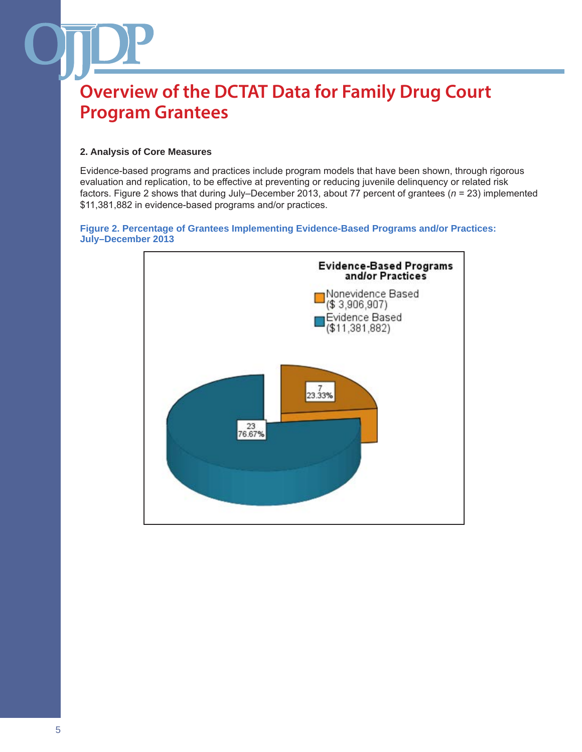### **2. Analysis of Core Measures**

Evidence-based programs and practices include program models that have been shown, through rigorous evaluation and replication, to be effective at preventing or reducing juvenile delinquency or related risk factors. Figure 2 shows that during July–December 2013, about 77 percent of grantees (*n* = 23) implemented \$11,381,882 in evidence-based programs and/or practices.

#### **Figure 2. Percentage of Grantees Implementing Evidence-Based Programs and/or Practices: July–December 2013**

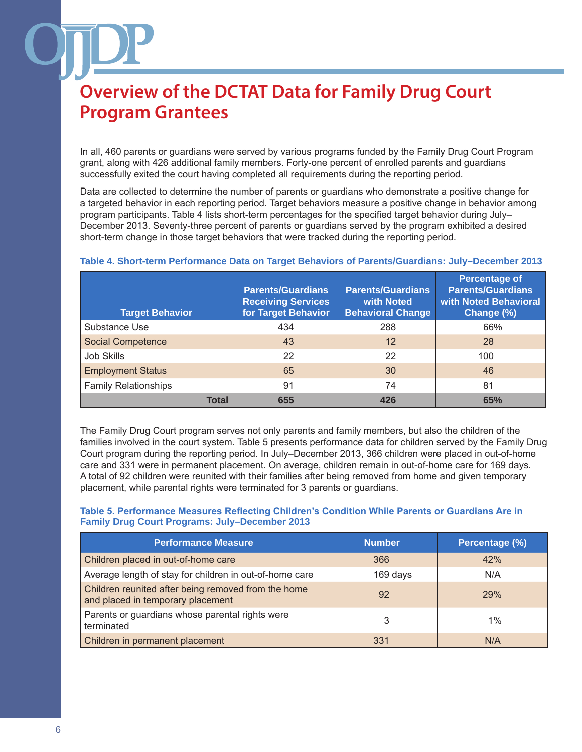In all, 460 parents or guardians were served by various programs funded by the Family Drug Court Program grant, along with 426 additional family members. Forty-one percent of enrolled parents and guardians successfully exited the court having completed all requirements during the reporting period.

Data are collected to determine the number of parents or guardians who demonstrate a positive change for a targeted behavior in each reporting period. Target behaviors measure a positive change in behavior among program participants. Table 4 lists short-term percentages for the specified target behavior during July– December 2013. Seventy-three percent of parents or guardians served by the program exhibited a desired short-term change in those target behaviors that were tracked during the reporting period.

| <b>Target Behavior</b>      | <b>Parents/Guardians</b><br><b>Receiving Services</b><br>for Target Behavior | <b>Parents/Guardians</b><br>with Noted<br><b>Behavioral Change</b> | <b>Percentage of</b><br><b>Parents/Guardians</b><br><b>with Noted Behavioral</b><br>Change (%) |
|-----------------------------|------------------------------------------------------------------------------|--------------------------------------------------------------------|------------------------------------------------------------------------------------------------|
| Substance Use               | 434                                                                          | 288                                                                | 66%                                                                                            |
| <b>Social Competence</b>    | 43                                                                           | $12 \overline{ }$                                                  | 28                                                                                             |
| Job Skills                  | 22                                                                           | 22                                                                 | 100                                                                                            |
| <b>Employment Status</b>    | 65                                                                           | 30                                                                 | 46                                                                                             |
| <b>Family Relationships</b> | 91                                                                           | 74                                                                 | 81                                                                                             |
| <b>Total</b>                | 655                                                                          | 426                                                                | 65%                                                                                            |

### **Table 4. Short-term Performance Data on Target Behaviors of Parents/Guardians: July–December 2013**

The Family Drug Court program serves not only parents and family members, but also the children of the families involved in the court system. Table 5 presents performance data for children served by the Family Drug Court program during the reporting period. In July–December 2013, 366 children were placed in out-of-home care and 331 were in permanent placement. On average, children remain in out-of-home care for 169 days. A total of 92 children were reunited with their families after being removed from home and given temporary placement, while parental rights were terminated for 3 parents or guardians.

### **Table 5. Performance Measures Reflecting Children's Condition While Parents or Guardians Are in Family Drug Court Programs: July–December 2013**

| <b>Performance Measure</b>                                                               | <b>Number</b> | Percentage (%) |
|------------------------------------------------------------------------------------------|---------------|----------------|
| Children placed in out-of-home care                                                      | 366           | 42%            |
| Average length of stay for children in out-of-home care                                  | 169 days      | N/A            |
| Children reunited after being removed from the home<br>and placed in temporary placement | 92            | <b>29%</b>     |
| Parents or guardians whose parental rights were<br>terminated                            | 3             | $1\%$          |
| Children in permanent placement                                                          | 331           | N/A            |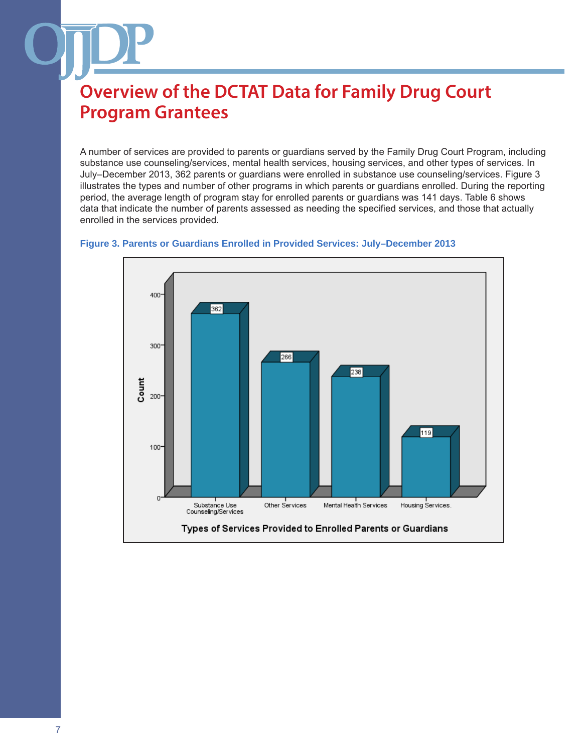A number of services are provided to parents or guardians served by the Family Drug Court Program, including substance use counseling/services, mental health services, housing services, and other types of services. In July–December 2013, 362 parents or guardians were enrolled in substance use counseling/services. Figure 3 illustrates the types and number of other programs in which parents or guardians enrolled. During the reporting period, the average length of program stay for enrolled parents or guardians was 141 days. Table 6 shows data that indicate the number of parents assessed as needing the specified services, and those that actually enrolled in the services provided.



#### **Figure 3. Parents or Guardians Enrolled in Provided Services: July–December 2013**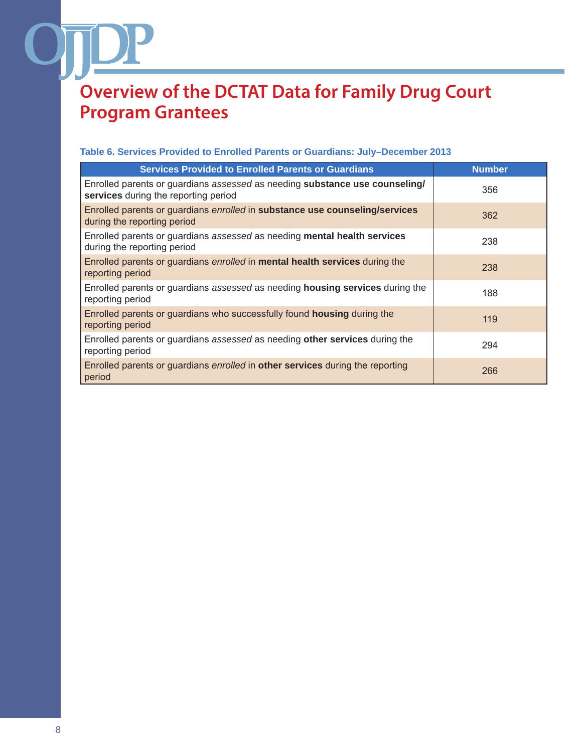### **Table 6. Services Provided to Enrolled Parents or Guardians: July–December 2013**

| <b>Services Provided to Enrolled Parents or Guardians</b>                                                           | <b>Number</b> |
|---------------------------------------------------------------------------------------------------------------------|---------------|
| Enrolled parents or guardians assessed as needing substance use counseling/<br>services during the reporting period | 356           |
| Enrolled parents or guardians enrolled in substance use counseling/services<br>during the reporting period          | 362           |
| Enrolled parents or guardians assessed as needing mental health services<br>during the reporting period             | 238           |
| Enrolled parents or guardians <i>enrolled</i> in <b>mental health services</b> during the<br>reporting period       | 238           |
| Enrolled parents or guardians assessed as needing <b>housing services</b> during the<br>reporting period            | 188           |
| Enrolled parents or guardians who successfully found <b>housing</b> during the<br>reporting period                  | 119           |
| Enrolled parents or guardians assessed as needing other services during the<br>reporting period                     | 294           |
| Enrolled parents or guardians <i>enrolled</i> in <b>other services</b> during the reporting<br>period               | 266           |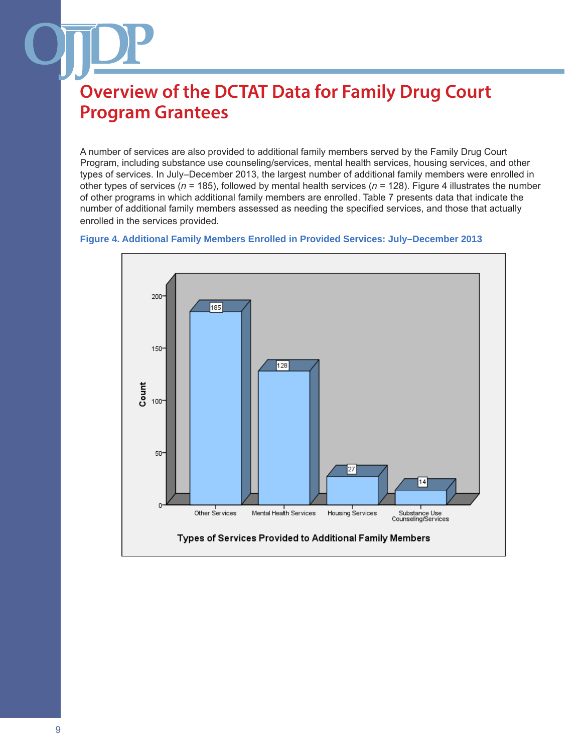A number of services are also provided to additional family members served by the Family Drug Court Program, including substance use counseling/services, mental health services, housing services, and other types of services. In July–December 2013, the largest number of additional family members were enrolled in other types of services (*n* = 185), followed by mental health services (*n* = 128). Figure 4 illustrates the number of other programs in which additional family members are enrolled. Table 7 presents data that indicate the number of additional family members assessed as needing the specified services, and those that actually enrolled in the services provided.

#### **Figure 4. Additional Family Members Enrolled in Provided Services: July–December 2013**

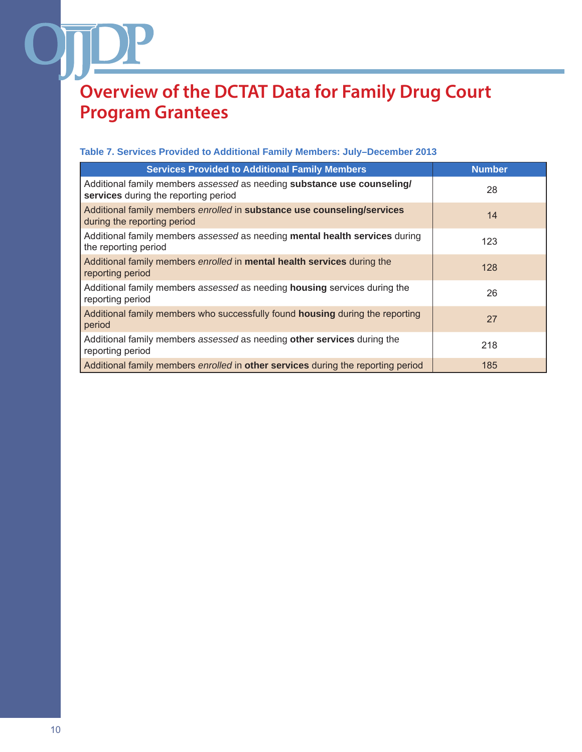### **Table 7. Services Provided to Additional Family Members: July–December 2013**

| <b>Services Provided to Additional Family Members</b>                                                           | <b>Number</b> |
|-----------------------------------------------------------------------------------------------------------------|---------------|
| Additional family members assessed as needing substance use counseling/<br>services during the reporting period | 28            |
| Additional family members enrolled in substance use counseling/services<br>during the reporting period          | 14            |
| Additional family members assessed as needing mental health services during<br>the reporting period             | 123           |
| Additional family members enrolled in mental health services during the<br>reporting period                     | 128           |
| Additional family members assessed as needing housing services during the<br>reporting period                   | 26            |
| Additional family members who successfully found housing during the reporting<br>period                         | 27            |
| Additional family members assessed as needing other services during the<br>reporting period                     | 218           |
| Additional family members <i>enrolled</i> in <b>other services</b> during the reporting period                  | 185           |